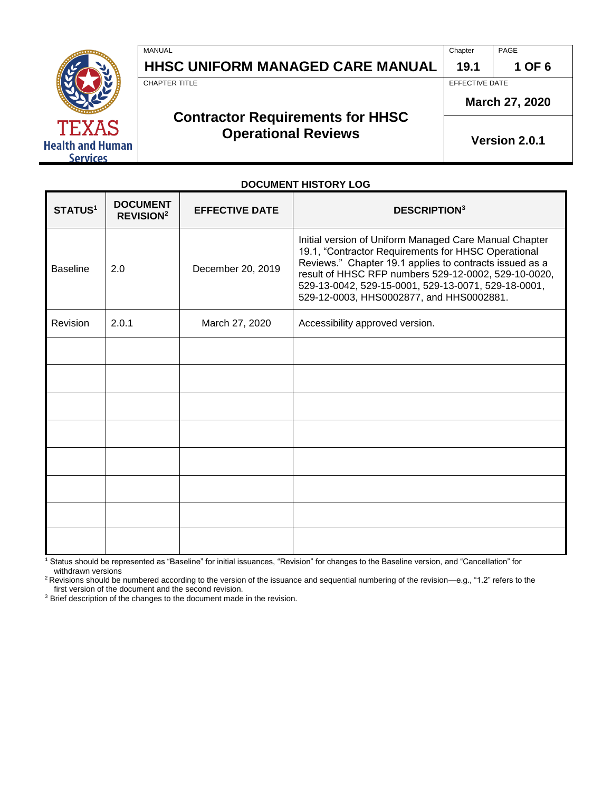| TF.XAS                  |
|-------------------------|
| <b>Health and Human</b> |
| <b>Services</b>         |

| MANUAL                                  | Chapter        | PAGE   |
|-----------------------------------------|----------------|--------|
| <b>HHSC UNIFORM MANAGED CARE MANUAL</b> | 19.1           | 1 OF 6 |
| CHAPTER TITLE                           | EFFECTIVE DATE |        |

# **Contractor Requirements for HHSC Operational Reviews Properational Reviews**

**March 27, 2020**

**DOCUMENT HISTORY LOG**

| STATUS <sup>1</sup> | <b>DOCUMENT</b><br><b>REVISION<sup>2</sup></b> | <b>EFFECTIVE DATE</b> | <b>DESCRIPTION3</b>                                                                                                                                                                                                                                                                                                                 |
|---------------------|------------------------------------------------|-----------------------|-------------------------------------------------------------------------------------------------------------------------------------------------------------------------------------------------------------------------------------------------------------------------------------------------------------------------------------|
| <b>Baseline</b>     | 2.0                                            | December 20, 2019     | Initial version of Uniform Managed Care Manual Chapter<br>19.1, "Contractor Requirements for HHSC Operational<br>Reviews." Chapter 19.1 applies to contracts issued as a<br>result of HHSC RFP numbers 529-12-0002, 529-10-0020,<br>529-13-0042, 529-15-0001, 529-13-0071, 529-18-0001,<br>529-12-0003, HHS0002877, and HHS0002881. |
| <b>Revision</b>     | 2.0.1                                          | March 27, 2020        | Accessibility approved version.                                                                                                                                                                                                                                                                                                     |
|                     |                                                |                       |                                                                                                                                                                                                                                                                                                                                     |
|                     |                                                |                       |                                                                                                                                                                                                                                                                                                                                     |
|                     |                                                |                       |                                                                                                                                                                                                                                                                                                                                     |
|                     |                                                |                       |                                                                                                                                                                                                                                                                                                                                     |
|                     |                                                |                       |                                                                                                                                                                                                                                                                                                                                     |
|                     |                                                |                       |                                                                                                                                                                                                                                                                                                                                     |
|                     |                                                |                       |                                                                                                                                                                                                                                                                                                                                     |
|                     |                                                |                       |                                                                                                                                                                                                                                                                                                                                     |

**<sup>1</sup>** Status should be represented as "Baseline" for initial issuances, "Revision" for changes to the Baseline version, and "Cancellation" for withdrawn versions

<sup>2</sup>Revisions should be numbered according to the version of the issuance and sequential numbering of the revision—e.g., "1.2" refers to the first version of the document and the second revision.

<sup>3</sup> Brief description of the changes to the document made in the revision.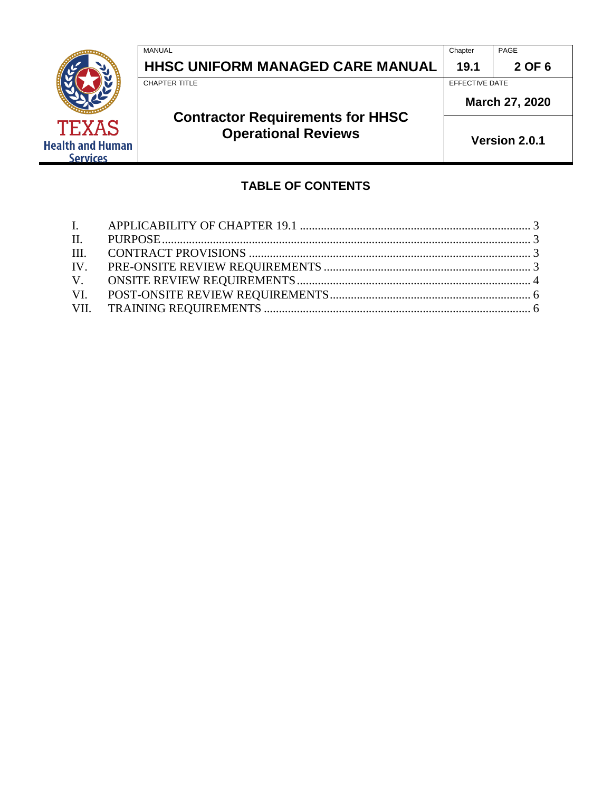|                                                            | MANUAL<br><b>HHSC UNIFORM MANAGED CARE MANUAL</b>                     | Chapter<br>19.1 | PAGE<br>2 OF 6 |
|------------------------------------------------------------|-----------------------------------------------------------------------|-----------------|----------------|
|                                                            | <b>CHAPTER TITLE</b>                                                  | EFFECTIVE DATE  | March 27, 2020 |
| <b>TEXAS</b><br><b>Health and Human</b><br><b>Services</b> | <b>Contractor Requirements for HHSC</b><br><b>Operational Reviews</b> |                 | Version 2.0.1  |

# **TABLE OF CONTENTS**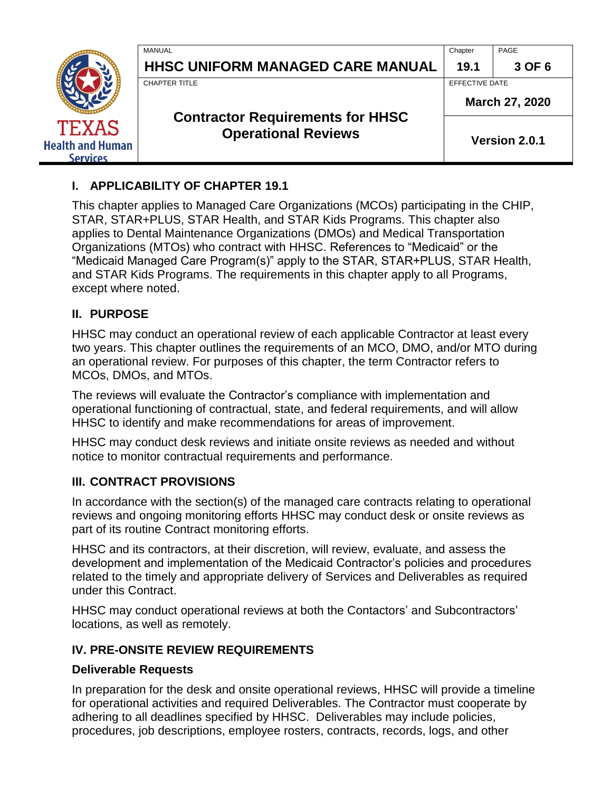|                                                     | MANUAL<br><b>HHSC UNIFORM MANAGED CARE MANUAL</b>                                      | Chapter<br>19.1                  | PAGE<br>3 OF 6 |  |
|-----------------------------------------------------|----------------------------------------------------------------------------------------|----------------------------------|----------------|--|
|                                                     | CHAPTER TITLE<br><b>Contractor Requirements for HHSC</b><br><b>Operational Reviews</b> | EFFECTIVE DATE<br>March 27, 2020 |                |  |
| <b>TEXAS</b><br><b>Health and Human</b><br>Services |                                                                                        |                                  | Version 2.0.1  |  |

# <span id="page-2-0"></span>**I. APPLICABILITY OF CHAPTER 19.1**

This chapter applies to Managed Care Organizations (MCOs) participating in the CHIP, STAR, STAR+PLUS, STAR Health, and STAR Kids Programs. This chapter also applies to Dental Maintenance Organizations (DMOs) and Medical Transportation Organizations (MTOs) who contract with HHSC. References to "Medicaid" or the "Medicaid Managed Care Program(s)" apply to the STAR, STAR+PLUS, STAR Health, and STAR Kids Programs. The requirements in this chapter apply to all Programs, except where noted.

# <span id="page-2-1"></span>**II. PURPOSE**

HHSC may conduct an operational review of each applicable Contractor at least every two years. This chapter outlines the requirements of an MCO, DMO, and/or MTO during an operational review. For purposes of this chapter, the term Contractor refers to MCOs, DMOs, and MTOs.

The reviews will evaluate the Contractor's compliance with implementation and operational functioning of contractual, state, and federal requirements, and will allow HHSC to identify and make recommendations for areas of improvement.

HHSC may conduct desk reviews and initiate onsite reviews as needed and without notice to monitor contractual requirements and performance.

# <span id="page-2-2"></span>**III. CONTRACT PROVISIONS**

In accordance with the section(s) of the managed care contracts relating to operational reviews and ongoing monitoring efforts HHSC may conduct desk or onsite reviews as part of its routine Contract monitoring efforts.

HHSC and its contractors, at their discretion, will review, evaluate, and assess the development and implementation of the Medicaid Contractor's policies and procedures related to the timely and appropriate delivery of Services and Deliverables as required under this Contract.

HHSC may conduct operational reviews at both the Contactors' and Subcontractors' locations, as well as remotely.

# <span id="page-2-3"></span>**IV. PRE-ONSITE REVIEW REQUIREMENTS**

#### **Deliverable Requests**

In preparation for the desk and onsite operational reviews, HHSC will provide a timeline for operational activities and required Deliverables. The Contractor must cooperate by adhering to all deadlines specified by HHSC. Deliverables may include policies, procedures, job descriptions, employee rosters, contracts, records, logs, and other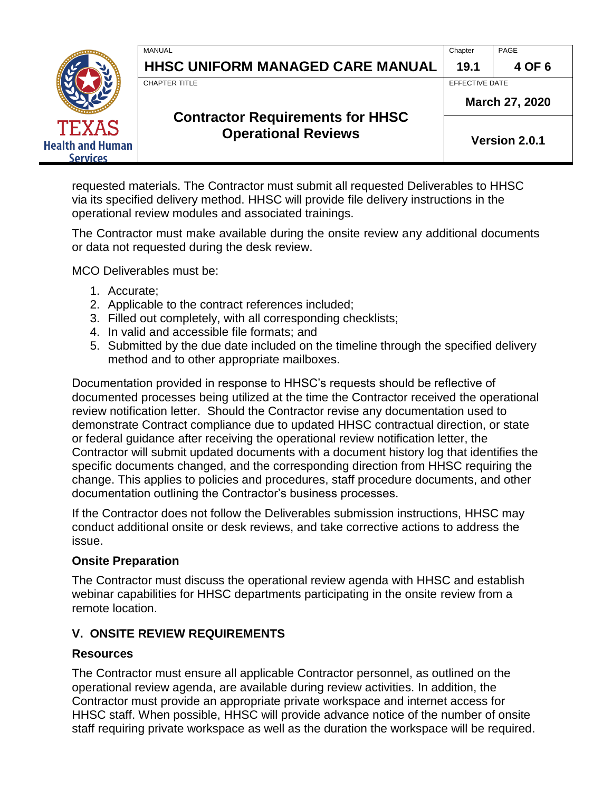|                                                            | MANUAL<br>HHSC UNIFORM MANAGED CARE MANUAL                                                    | Chapter<br>19.1                  | PAGE<br>4 OF 6 |  |
|------------------------------------------------------------|-----------------------------------------------------------------------------------------------|----------------------------------|----------------|--|
|                                                            | <b>CHAPTER TITLE</b><br><b>Contractor Requirements for HHSC</b><br><b>Operational Reviews</b> | EFFECTIVE DATE<br>March 27, 2020 |                |  |
| <b>TEXAS</b><br><b>Health and Human</b><br><b>Services</b> |                                                                                               |                                  | Version 2.0.1  |  |

requested materials. The Contractor must submit all requested Deliverables to HHSC via its specified delivery method. HHSC will provide file delivery instructions in the operational review modules and associated trainings.

The Contractor must make available during the onsite review any additional documents or data not requested during the desk review.

MCO Deliverables must be:

- 1. Accurate;
- 2. Applicable to the contract references included;
- 3. Filled out completely, with all corresponding checklists;
- 4. In valid and accessible file formats; and
- 5. Submitted by the due date included on the timeline through the specified delivery method and to other appropriate mailboxes.

Documentation provided in response to HHSC's requests should be reflective of documented processes being utilized at the time the Contractor received the operational review notification letter. Should the Contractor revise any documentation used to demonstrate Contract compliance due to updated HHSC contractual direction, or state or federal guidance after receiving the operational review notification letter, the Contractor will submit updated documents with a document history log that identifies the specific documents changed, and the corresponding direction from HHSC requiring the change. This applies to policies and procedures, staff procedure documents, and other documentation outlining the Contractor's business processes.

If the Contractor does not follow the Deliverables submission instructions, HHSC may conduct additional onsite or desk reviews, and take corrective actions to address the issue.

#### **Onsite Preparation**

The Contractor must discuss the operational review agenda with HHSC and establish webinar capabilities for HHSC departments participating in the onsite review from a remote location.

#### <span id="page-3-0"></span>**V. ONSITE REVIEW REQUIREMENTS**

#### **Resources**

The Contractor must ensure all applicable Contractor personnel, as outlined on the operational review agenda, are available during review activities. In addition, the Contractor must provide an appropriate private workspace and internet access for HHSC staff. When possible, HHSC will provide advance notice of the number of onsite staff requiring private workspace as well as the duration the workspace will be required.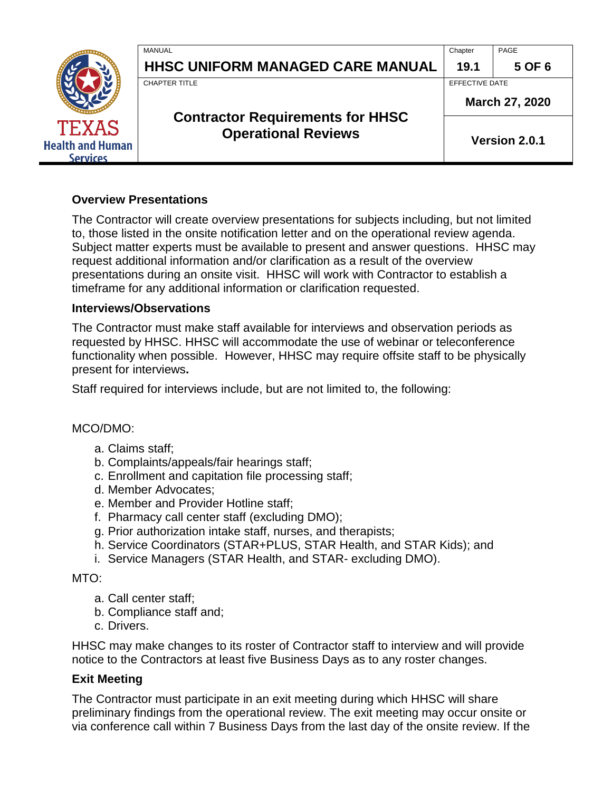|                                                            | MANUAL<br><b>HHSC UNIFORM MANAGED CARE MANUAL</b>                     | Chapter<br>19.1 | PAGE<br>5 OF 6 |
|------------------------------------------------------------|-----------------------------------------------------------------------|-----------------|----------------|
|                                                            | <b>CHAPTER TITLE</b>                                                  | EFFECTIVE DATE  | March 27, 2020 |
| <b>TEXAS</b><br><b>Health and Human</b><br><b>Services</b> | <b>Contractor Requirements for HHSC</b><br><b>Operational Reviews</b> |                 | Version 2.0.1  |

#### **Overview Presentations**

The Contractor will create overview presentations for subjects including, but not limited to, those listed in the onsite notification letter and on the operational review agenda. Subject matter experts must be available to present and answer questions. HHSC may request additional information and/or clarification as a result of the overview presentations during an onsite visit. HHSC will work with Contractor to establish a timeframe for any additional information or clarification requested.

#### **Interviews/Observations**

The Contractor must make staff available for interviews and observation periods as requested by HHSC. HHSC will accommodate the use of webinar or teleconference functionality when possible. However, HHSC may require offsite staff to be physically present for interviews**.**

Staff required for interviews include, but are not limited to, the following:

#### MCO/DMO:

- a. Claims staff;
- b. Complaints/appeals/fair hearings staff;
- c. Enrollment and capitation file processing staff;
- d. Member Advocates;
- e. Member and Provider Hotline staff;
- f. Pharmacy call center staff (excluding DMO);
- g. Prior authorization intake staff, nurses, and therapists;
- h. Service Coordinators (STAR+PLUS, STAR Health, and STAR Kids); and
- i. Service Managers (STAR Health, and STAR- excluding DMO).

#### MTO:

- a. Call center staff;
- b. Compliance staff and;
- c. Drivers.

HHSC may make changes to its roster of Contractor staff to interview and will provide notice to the Contractors at least five Business Days as to any roster changes.

#### **Exit Meeting**

The Contractor must participate in an exit meeting during which HHSC will share preliminary findings from the operational review. The exit meeting may occur onsite or via conference call within 7 Business Days from the last day of the onsite review. If the